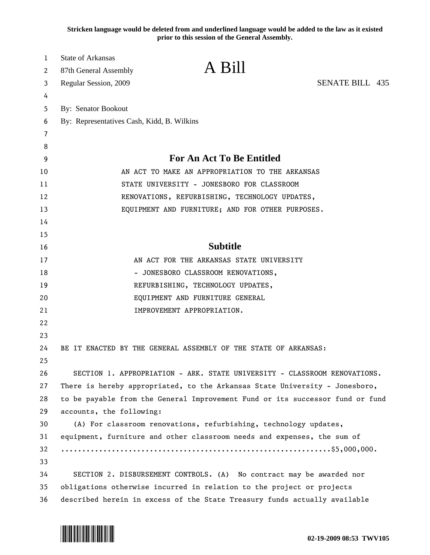**Stricken language would be deleted from and underlined language would be added to the law as it existed prior to this session of the General Assembly.**

| 1        | <b>State of Arkansas</b>                                                                     |  |
|----------|----------------------------------------------------------------------------------------------|--|
| 2        | A Bill<br>87th General Assembly                                                              |  |
| 3        | <b>SENATE BILL 435</b><br>Regular Session, 2009                                              |  |
| 4        |                                                                                              |  |
| 5        | By: Senator Bookout                                                                          |  |
| 6        | By: Representatives Cash, Kidd, B. Wilkins                                                   |  |
| 7        |                                                                                              |  |
| 8        | <b>For An Act To Be Entitled</b>                                                             |  |
| 9        |                                                                                              |  |
| 10       | AN ACT TO MAKE AN APPROPRIATION TO THE ARKANSAS                                              |  |
| 11<br>12 | STATE UNIVERSITY - JONESBORO FOR CLASSROOM<br>RENOVATIONS, REFURBISHING, TECHNOLOGY UPDATES, |  |
| 13       | EQUIPMENT AND FURNITURE; AND FOR OTHER PURPOSES.                                             |  |
| 14       |                                                                                              |  |
| 15       |                                                                                              |  |
| 16       | <b>Subtitle</b>                                                                              |  |
| 17       | AN ACT FOR THE ARKANSAS STATE UNIVERSITY                                                     |  |
| 18       | - JONESBORO CLASSROOM RENOVATIONS,                                                           |  |
| 19       | REFURBISHING, TECHNOLOGY UPDATES,                                                            |  |
| 20       | EQUIPMENT AND FURNITURE GENERAL                                                              |  |
| 21       | IMPROVEMENT APPROPRIATION.                                                                   |  |
| 22       |                                                                                              |  |
| 23       |                                                                                              |  |
| 24       | BE IT ENACTED BY THE GENERAL ASSEMBLY OF THE STATE OF ARKANSAS:                              |  |
| 25       |                                                                                              |  |
| 26       | SECTION 1. APPROPRIATION - ARK. STATE UNIVERSITY - CLASSROOM RENOVATIONS.                    |  |
| 27       | There is hereby appropriated, to the Arkansas State University - Jonesboro,                  |  |
| 28       | to be payable from the General Improvement Fund or its successor fund or fund                |  |
| 29       | accounts, the following:                                                                     |  |
| 30       | (A) For classroom renovations, refurbishing, technology updates,                             |  |
| 31       | equipment, furniture and other classroom needs and expenses, the sum of                      |  |
| 32       |                                                                                              |  |
| 33       |                                                                                              |  |
| 34       | SECTION 2. DISBURSEMENT CONTROLS. (A) No contract may be awarded nor                         |  |
| 35       | obligations otherwise incurred in relation to the project or projects                        |  |
| 36       | described herein in excess of the State Treasury funds actually available                    |  |

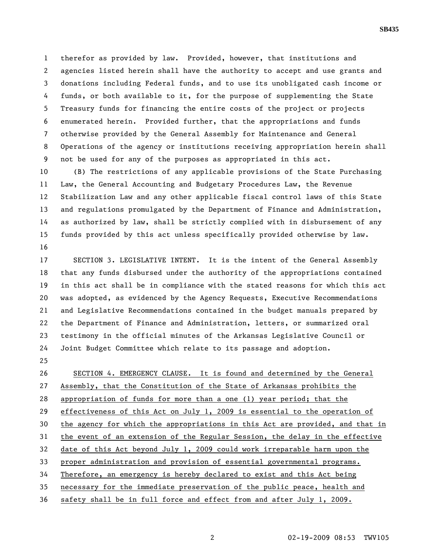1 therefor as provided by law. Provided, however, that institutions and 2 agencies listed herein shall have the authority to accept and use grants and 3 donations including Federal funds, and to use its unobligated cash income or 4 funds, or both available to it, for the purpose of supplementing the State 5 Treasury funds for financing the entire costs of the project or projects 6 enumerated herein. Provided further, that the appropriations and funds 7 otherwise provided by the General Assembly for Maintenance and General 8 Operations of the agency or institutions receiving appropriation herein shall 9 not be used for any of the purposes as appropriated in this act.

10 (B) The restrictions of any applicable provisions of the State Purchasing 11 Law, the General Accounting and Budgetary Procedures Law, the Revenue 12 Stabilization Law and any other applicable fiscal control laws of this State 13 and regulations promulgated by the Department of Finance and Administration, 14 as authorized by law, shall be strictly complied with in disbursement of any 15 funds provided by this act unless specifically provided otherwise by law. 16

17 SECTION 3. LEGISLATIVE INTENT. It is the intent of the General Assembly 18 that any funds disbursed under the authority of the appropriations contained 19 in this act shall be in compliance with the stated reasons for which this act 20 was adopted, as evidenced by the Agency Requests, Executive Recommendations 21 and Legislative Recommendations contained in the budget manuals prepared by 22 the Department of Finance and Administration, letters, or summarized oral 23 testimony in the official minutes of the Arkansas Legislative Council or 24 Joint Budget Committee which relate to its passage and adoption.

25

26 SECTION 4. EMERGENCY CLAUSE. It is found and determined by the General 27 Assembly, that the Constitution of the State of Arkansas prohibits the 28 appropriation of funds for more than a one (1) year period; that the 29 effectiveness of this Act on July 1, 2009 is essential to the operation of 30 the agency for which the appropriations in this Act are provided, and that in 31 the event of an extension of the Regular Session, the delay in the effective 32 date of this Act beyond July 1, 2009 could work irreparable harm upon the 33 proper administration and provision of essential governmental programs. 34 Therefore, an emergency is hereby declared to exist and this Act being 35 necessary for the immediate preservation of the public peace, health and 36 safety shall be in full force and effect from and after July 1, 2009.